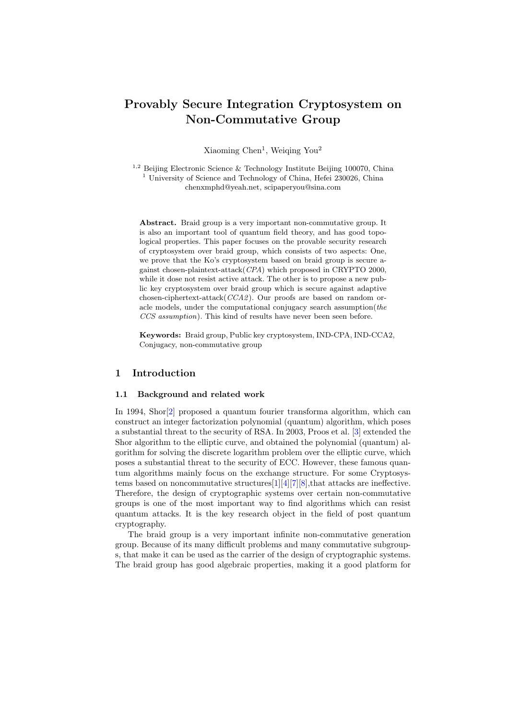# Provably Secure Integration Cryptosystem on Non-Commutative Group

Xiaoming Chen<sup>1</sup>, Weiqing You<sup>2</sup>

 $1,2$  Beijing Electronic Science & Technology Institute Beijing 100070, China <sup>1</sup> University of Science and Technology of China, Hefei  $230026$ , China chenxmphd@yeah.net, scipaperyou@sina.com

Abstract. Braid group is a very important non-commutative group. It is also an important tool of quantum field theory, and has good topological properties. This paper focuses on the provable security research of cryptosystem over braid group, which consists of two aspects: One, we prove that the Ko's cryptosystem based on braid group is secure against chosen-plaintext-attack(CPA) which proposed in CRYPTO 2000, while it dose not resist active attack. The other is to propose a new public key cryptosystem over braid group which is secure against adaptive chosen-ciphertext-attack(CCA2 ). Our proofs are based on random oracle models, under the computational conjugacy search assumption(the CCS assumption). This kind of results have never been seen before.

Keywords: Braid group, Public key cryptosystem, IND-CPA, IND-CCA2, Conjugacy, non-commutative group

# 1 Introduction

### 1.1 Background and related work

In 1994, Shor[\[2\]](#page-12-0) proposed a quantum fourier transforma algorithm, which can construct an integer factorization polynomial (quantum) algorithm, which poses a substantial threat to the security of RSA. In 2003, Proos et al. [\[3\]](#page-12-1) extended the Shor algorithm to the elliptic curve, and obtained the polynomial (quantum) algorithm for solving the discrete logarithm problem over the elliptic curve, which poses a substantial threat to the security of ECC. However, these famous quantum algorithms mainly focus on the exchange structure. For some Cryptosystems based on noncommutative structures[\[1\]](#page-12-2)[\[4\]](#page-12-3)[\[7\]](#page-12-4)[\[8\]](#page-12-5),that attacks are ineffective. Therefore, the design of cryptographic systems over certain non-commutative groups is one of the most important way to find algorithms which can resist quantum attacks. It is the key research object in the field of post quantum cryptography.

The braid group is a very important infinite non-commutative generation group. Because of its many difficult problems and many commutative subgroups, that make it can be used as the carrier of the design of cryptographic systems. The braid group has good algebraic properties, making it a good platform for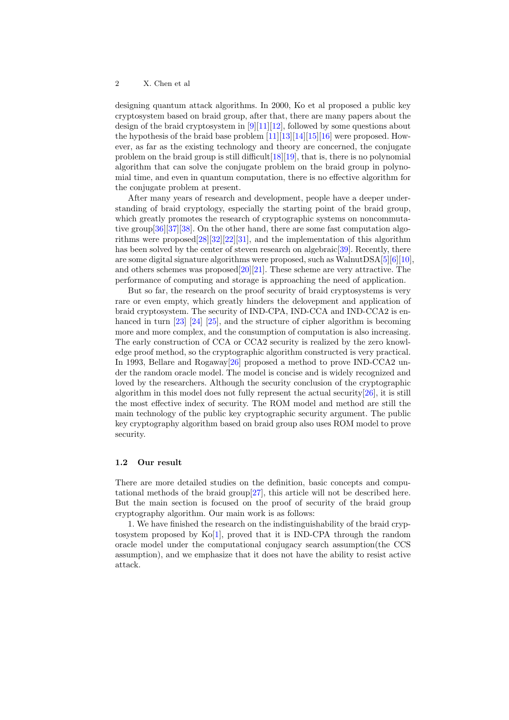designing quantum attack algorithms. In 2000, Ko et al proposed a public key cryptosystem based on braid group, after that, there are many papers about the design of the braid cryptosystem in [\[9\]](#page-12-6)[\[11\]](#page-12-7)[\[12\]](#page-12-8), followed by some questions about the hypothesis of the braid base problem  $[11][13][14][15][16]$  $[11][13][14][15][16]$  $[11][13][14][15][16]$  $[11][13][14][15][16]$  $[11][13][14][15][16]$  were proposed. However, as far as the existing technology and theory are concerned, the conjugate problem on the braid group is still difficult  $[18][19]$  $[18][19]$ , that is, there is no polynomial algorithm that can solve the conjugate problem on the braid group in polynomial time, and even in quantum computation, there is no effective algorithm for the conjugate problem at present.

After many years of research and development, people have a deeper understanding of braid cryptology, especially the starting point of the braid group, which greatly promotes the research of cryptographic systems on noncommutative group[\[36\]](#page-13-1)[\[37\]](#page-13-2)[\[38\]](#page-13-3). On the other hand, there are some fast computation algorithms were proposed[\[28\]](#page-13-4)[\[32\]](#page-13-5)[\[22\]](#page-13-6)[\[31\]](#page-13-7), and the implementation of this algorithm has been solved by the center of steven research on algebraic<sup>[\[39\]](#page-13-8)</sup>. Recently, there are some digital signature algorithms were proposed, such as WalnutDSA[\[5\]](#page-12-14)[\[6\]](#page-12-15)[\[10\]](#page-12-16), and others schemes was proposed $[20][21]$  $[20][21]$ . These scheme are very attractive. The performance of computing and storage is approaching the need of application.

But so far, the research on the proof security of braid cryptosystems is very rare or even empty, which greatly hinders the delovepment and application of braid cryptosystem. The security of IND-CPA, IND-CCA and IND-CCA2 is en-hanced in turn [\[23\]](#page-13-11) [\[24\]](#page-13-12) [\[25\]](#page-13-13), and the structure of cipher algorithm is becoming more and more complex, and the consumption of computation is also increasing. The early construction of CCA or CCA2 security is realized by the zero knowledge proof method, so the cryptographic algorithm constructed is very practical. In 1993, Bellare and Rogaway[\[26\]](#page-13-14) proposed a method to prove IND-CCA2 under the random oracle model. The model is concise and is widely recognized and loved by the researchers. Although the security conclusion of the cryptographic algorithm in this model does not fully represent the actual security $[26]$ , it is still the most effective index of security. The ROM model and method are still the main technology of the public key cryptographic security argument. The public key cryptography algorithm based on braid group also uses ROM model to prove security.

### 1.2 Our result

There are more detailed studies on the definition, basic concepts and computational methods of the braid group[\[27\]](#page-13-15), this article will not be described here. But the main section is focused on the proof of security of the braid group cryptography algorithm. Our main work is as follows:

1. We have finished the research on the indistinguishability of the braid cryptosystem proposed by Ko[\[1\]](#page-12-2), proved that it is IND-CPA through the random oracle model under the computational conjugacy search assumption(the CCS assumption), and we emphasize that it does not have the ability to resist active attack.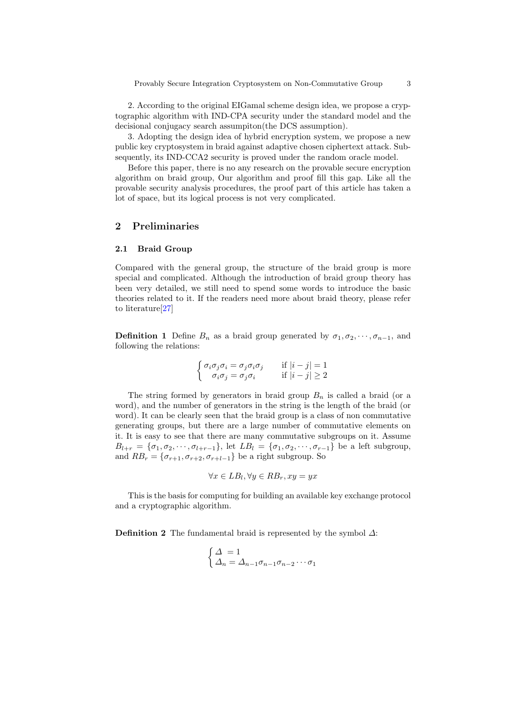2. According to the original EIGamal scheme design idea, we propose a cryptographic algorithm with IND-CPA security under the standard model and the decisional conjugacy search assumpiton(the DCS assumption).

3. Adopting the design idea of hybrid encryption system, we propose a new public key cryptosystem in braid against adaptive chosen ciphertext attack. Subsequently, its IND-CCA2 security is proved under the random oracle model.

Before this paper, there is no any research on the provable secure encryption algorithm on braid group, Our algorithm and proof fill this gap. Like all the provable security analysis procedures, the proof part of this article has taken a lot of space, but its logical process is not very complicated.

### 2 Preliminaries

### 2.1 Braid Group

Compared with the general group, the structure of the braid group is more special and complicated. Although the introduction of braid group theory has been very detailed, we still need to spend some words to introduce the basic theories related to it. If the readers need more about braid theory, please refer to literature[\[27\]](#page-13-15)

**Definition 1** Define  $B_n$  as a braid group generated by  $\sigma_1, \sigma_2, \cdots, \sigma_{n-1}$ , and following the relations:

$$
\begin{cases} \sigma_i \sigma_j \sigma_i = \sigma_j \sigma_i \sigma_j & \text{if } |i - j| = 1 \\ \sigma_i \sigma_j = \sigma_j \sigma_i & \text{if } |i - j| \ge 2 \end{cases}
$$

The string formed by generators in braid group  $B_n$  is called a braid (or a word), and the number of generators in the string is the length of the braid (or word). It can be clearly seen that the braid group is a class of non commutative generating groups, but there are a large number of commutative elements on it. It is easy to see that there are many commutative subgroups on it. Assume  $B_{l+r} = {\sigma_1, \sigma_2, \cdots, \sigma_{l+r-1}},$  let  $LB_l = {\sigma_1, \sigma_2, \cdots, \sigma_{r-1}}$  be a left subgroup, and  $RB_r = \{\sigma_{r+1}, \sigma_{r+2}, \sigma_{r+l-1}\}\$  be a right subgroup. So

$$
\forall x \in LB_l, \forall y \in RB_r, xy = yx
$$

This is the basis for computing for building an available key exchange protocol and a cryptographic algorithm.

**Definition 2** The fundamental braid is represented by the symbol  $\Delta$ :

$$
\begin{cases}\n\Delta = 1 \\
\Delta_n = \Delta_{n-1}\sigma_{n-1}\sigma_{n-2}\cdots\sigma_1\n\end{cases}
$$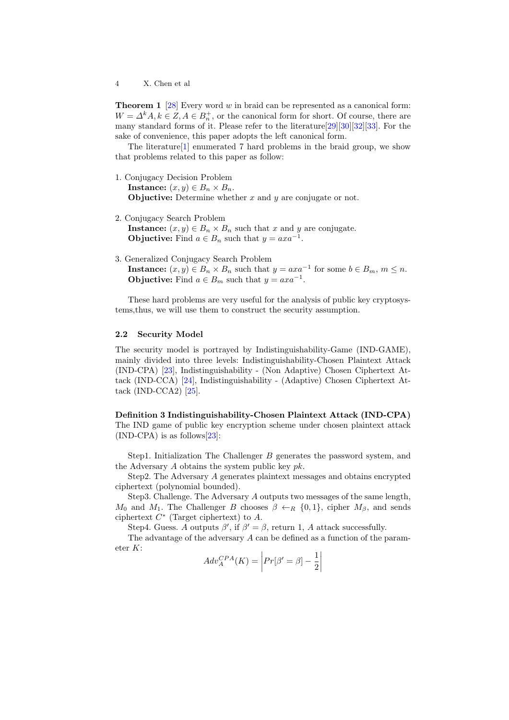**Theorem 1** [\[28\]](#page-13-4) Every word  $w$  in braid can be represented as a canonical form:  $W = \Delta^k A, k \in \mathbb{Z}, A \in B_n^+$ , or the canonical form for short. Of course, there are many standard forms of it. Please refer to the literature[\[29\]](#page-13-16)[\[30\]](#page-13-17)[\[32\]](#page-13-5)[\[33\]](#page-13-18). For the sake of convenience, this paper adopts the left canonical form.

The literature[\[1\]](#page-12-2) enumerated 7 hard problems in the braid group, we show that problems related to this paper as follow:

1. Conjugacy Decision Problem

**Instance:**  $(x, y) \in B_n \times B_n$ . **Objuctive:** Determine whether  $x$  and  $y$  are conjugate or not.

- 2. Conjugacy Search Problem Instance:  $(x, y) \in B_n \times B_n$  such that x and y are conjugate. **Objuctive:** Find  $a \in B_n$  such that  $y = axa^{-1}$ .
- 3. Generalized Conjugacy Search Problem

**Instance:**  $(x, y) \in B_n \times B_n$  such that  $y = axa^{-1}$  for some  $b \in B_m$ ,  $m \leq n$ . **Objuctive:** Find  $a \in B_m$  such that  $y = axa^{-1}$ .

These hard problems are very useful for the analysis of public key cryptosystems,thus, we will use them to construct the security assumption.

#### 2.2 Security Model

The security model is portrayed by Indistinguishability-Game (IND-GAME), mainly divided into three levels: Indistinguishability-Chosen Plaintext Attack (IND-CPA) [\[23\]](#page-13-11), Indistinguishability - (Non Adaptive) Chosen Ciphertext Attack (IND-CCA) [\[24\]](#page-13-12), Indistinguishability - (Adaptive) Chosen Ciphertext Attack  $(IND-CCA2)$   $[25]$ .

Definition 3 Indistinguishability-Chosen Plaintext Attack (IND-CPA) The IND game of public key encryption scheme under chosen plaintext attack (IND-CPA) is as follows[\[23\]](#page-13-11):

Step1. Initialization The Challenger B generates the password system, and the Adversary  $A$  obtains the system public key  $pk$ .

Step2. The Adversary A generates plaintext messages and obtains encrypted ciphertext (polynomial bounded).

Step3. Challenge. The Adversary A outputs two messages of the same length,  $M_0$  and  $M_1$ . The Challenger B chooses  $\beta \leftarrow_R \{0,1\}$ , cipher  $M_\beta$ , and sends ciphertext  $C^*$  (Target ciphertext) to  $A$ .

Step4. Guess. A outputs  $\beta'$ , if  $\beta' = \beta$ , return 1, A attack successfully.

The advantage of the adversary A can be defined as a function of the parameter K:

$$
Adv_A^{CPA}(K) = \left| Pr[\beta' = \beta] - \frac{1}{2} \right|
$$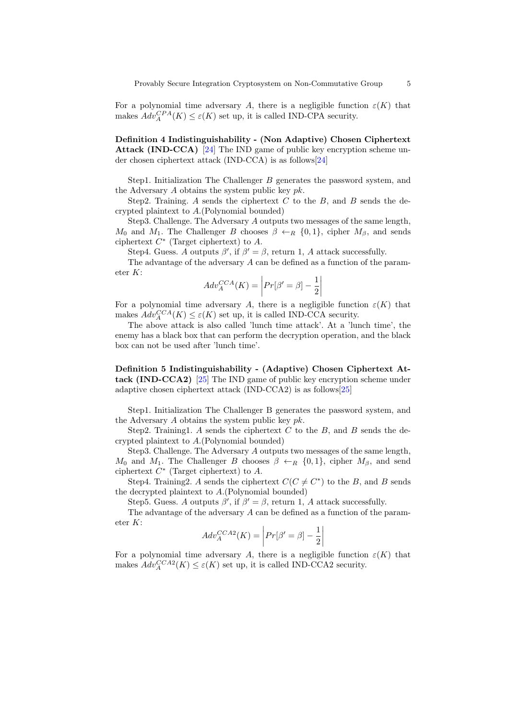For a polynomial time adversary A, there is a negligible function  $\varepsilon(K)$  that makes  $Adv_A^{CPA}(K) \leq \varepsilon(K)$  set up, it is called IND-CPA security.

Definition 4 Indistinguishability - (Non Adaptive) Chosen Ciphertext Attack (IND-CCA) [\[24\]](#page-13-12) The IND game of public key encryption scheme under chosen ciphertext attack (IND-CCA) is as follows[\[24\]](#page-13-12)

Step1. Initialization The Challenger B generates the password system, and the Adversary  $A$  obtains the system public key  $pk$ .

Step2. Training. A sends the ciphertext  $C$  to the  $B$ , and  $B$  sends the decrypted plaintext to A.(Polynomial bounded)

Step3. Challenge. The Adversary A outputs two messages of the same length,  $M_0$  and  $M_1$ . The Challenger B chooses  $\beta \leftarrow_R \{0,1\}$ , cipher  $M_\beta$ , and sends ciphertext  $C^*$  (Target ciphertext) to  $A$ .

Step4. Guess. A outputs  $\beta'$ , if  $\beta' = \beta$ , return 1, A attack successfully.

The advantage of the adversary A can be defined as a function of the parameter K:

$$
Adv_A^{CCA}(K) = \left| Pr[\beta' = \beta] - \frac{1}{2} \right|
$$

For a polynomial time adversary A, there is a negligible function  $\varepsilon(K)$  that makes  $Adv_A^{CCA}(K) \leq \varepsilon(K)$  set up, it is called IND-CCA security.

The above attack is also called 'lunch time attack'. At a 'lunch time', the enemy has a black box that can perform the decryption operation, and the black box can not be used after 'lunch time'.

Definition 5 Indistinguishability - (Adaptive) Chosen Ciphertext Attack (IND-CCA2) [\[25\]](#page-13-13) The IND game of public key encryption scheme under adaptive chosen ciphertext attack (IND-CCA2) is as follows[\[25\]](#page-13-13)

Step1. Initialization The Challenger B generates the password system, and the Adversary A obtains the system public key  $pk$ .

Step2. Training1. A sends the ciphertext  $C$  to the  $B$ , and  $B$  sends the decrypted plaintext to A.(Polynomial bounded)

Step3. Challenge. The Adversary A outputs two messages of the same length,  $M_0$  and  $M_1$ . The Challenger B chooses  $\beta \leftarrow_R \{0,1\}$ , cipher  $M_\beta$ , and send ciphertext  $C^*$  (Target ciphertext) to  $A$ .

Step4. Training 2. A sends the ciphertext  $C(C \neq C^*)$  to the B, and B sends the decrypted plaintext to A.(Polynomial bounded)

Step5. Guess. A outputs  $\beta'$ , if  $\beta' = \beta$ , return 1, A attack successfully.

The advantage of the adversary A can be defined as a function of the parameter K:

$$
Adv_A^{CCA2}(K) = \left| Pr[\beta' = \beta] - \frac{1}{2} \right|
$$

For a polynomial time adversary A, there is a negligible function  $\varepsilon(K)$  that makes  $Adv_A^{CCA2}(K) \leq \varepsilon(K)$  set up, it is called IND-CCA2 security.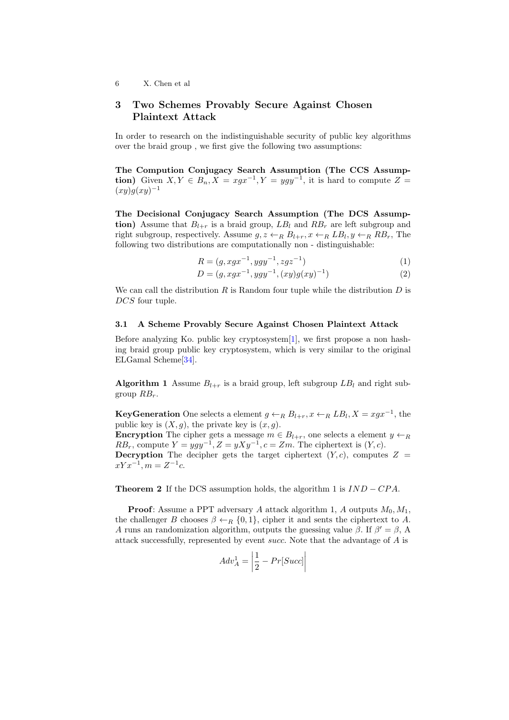### 3 Two Schemes Provably Secure Against Chosen Plaintext Attack

In order to research on the indistinguishable security of public key algorithms over the braid group , we first give the following two assumptions:

The Compution Conjugacy Search Assumption (The CCS Assumption) Given  $X, Y \in B_n, X = xgx^{-1}, Y = ygy^{-1}$ , it is hard to compute  $Z =$  $(xy)g(xy)^{-1}$ 

The Decisional Conjugacy Search Assumption (The DCS Assumption) Assume that  $B_{l+r}$  is a braid group,  $LB_l$  and  $RB_r$  are left subgroup and right subgroup, respectively. Assume  $g, z \leftarrow_R B_{l+r}, x \leftarrow_R LB_l, y \leftarrow_R RB_r$ , The following two distributions are computationally non - distinguishable:

$$
R = (g, xgx^{-1}, ygy^{-1}, zgz^{-1})
$$
\n(1)

$$
D = (g, xgx^{-1}, ygy^{-1}, (xy)g(xy)^{-1})
$$
\n(2)

We can call the distribution R is Random four tuple while the distribution  $D$  is DCS four tuple.

### 3.1 A Scheme Provably Secure Against Chosen Plaintext Attack

Before analyzing Ko. public key cryptosystem[\[1\]](#page-12-2), we first propose a non hashing braid group public key cryptosystem, which is very similar to the original ELGamal Scheme[\[34\]](#page-13-19).

**Algorithm 1** Assume  $B_{l+r}$  is a braid group, left subgroup  $LB_l$  and right subgroup  $RB_r$ .

**KeyGeneration** One selects a element  $g \leftarrow_R B_{l+r}, x \leftarrow_R LB_l, X = xgx^{-1}$ , the public key is  $(X, g)$ , the private key is  $(x, g)$ .

**Encryption** The cipher gets a message  $m \in B_{l+r}$ , one selects a element  $y \leftarrow_R$  $RB_r$ , compute  $Y = ygy^{-1}, Z = yXy^{-1}, c = Zm$ . The ciphertext is  $(Y, c)$ . **Decryption** The decipher gets the target ciphertext  $(Y, c)$ , computes  $Z =$  $xYx^{-1}, m = Z^{-1}c.$ 

**Theorem 2** If the DCS assumption holds, the algorithm 1 is  $IND - CPA$ .

**Proof:** Assume a PPT adversary A attack algorithm 1, A outputs  $M_0, M_1$ , the challenger B chooses  $\beta \leftarrow_R \{0,1\}$ , cipher it and sents the ciphertext to A. A runs an randomization algorithm, outputs the guessing value  $\beta$ . If  $\beta' = \beta$ , A attack successfully, represented by event succ. Note that the advantage of A is

$$
Adv_A^1 = \left| \frac{1}{2} - Pr[Succ] \right|
$$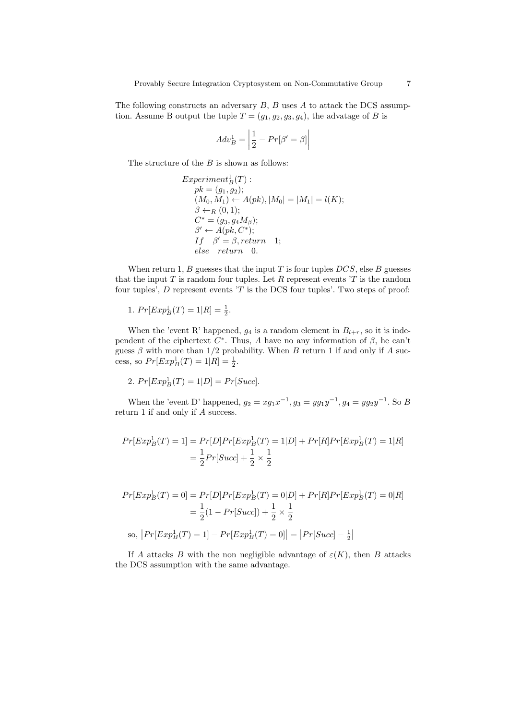The following constructs an adversary  $B$ ,  $B$  uses  $A$  to attack the DCS assumption. Assume B output the tuple  $T = (g_1, g_2, g_3, g_4)$ , the advatage of B is

$$
Adv_B^1 = \left| \frac{1}{2} - Pr[\beta' = \beta] \right|
$$

The structure of the  $B$  is shown as follows:

$$
ExperimentB1(T) :\npk = (g1, g2);\n(M0, M1) \leftarrow A(pk), |M0| = |M1| = l(K);\n\beta \leftarrow_R (0, 1);\nC^* = (g3, g4M\beta);\n\beta' \leftarrow A(pk, C^*);\nIf  $\beta' = \beta$ , return 1;  
\nelse return 0.
$$

When return 1, B guesses that the input  $T$  is four tuples  $DCS$ , else B guesses that the input  $T$  is random four tuples. Let  $R$  represent events  $T$  is the random four tuples',  $D$  represent events  $T$  is the DCS four tuples'. Two steps of proof:

1. 
$$
Pr[Exp_B^1(T) = 1|R] = \frac{1}{2}
$$
.

When the 'event R' happened,  $g_4$  is a random element in  $B_{l+r}$ , so it is independent of the ciphertext  $C^*$ . Thus, A have no any information of  $\beta$ , he can't guess  $\beta$  with more than 1/2 probability. When B return 1 if and only if A success, so  $Pr[Exp^1_B(T) = 1 | R] = \frac{1}{2}$ .

$$
2. Pr[ExpB1(T) = 1|D] = Pr[Succ].
$$

When the 'event D' happened,  $g_2 = xg_1x^{-1}$ ,  $g_3 = yg_1y^{-1}$ ,  $g_4 = yg_2y^{-1}$ . So B return 1 if and only if A success.

$$
Pr[Exp^1_B(T) = 1] = Pr[D]Pr[Exp^1_B(T) = 1|D] + Pr[R]Pr[Exp^1_B(T) = 1|R]
$$
  
=  $\frac{1}{2}Pr[Succ] + \frac{1}{2} \times \frac{1}{2}$ 

$$
Pr[Exp^1_B(T) = 0] = Pr[D]Pr[Exp^1_B(T) = 0|D] + Pr[R]Pr[Exp^1_B(T) = 0|R]
$$
  
=  $\frac{1}{2}(1 - Pr[Succ]) + \frac{1}{2} \times \frac{1}{2}$   
so,  $|Pr[Exp^1_B(T) = 1] - Pr[Exp^1_B(T) = 0]| = |Pr[Succ] - \frac{1}{2}|$ 

If A attacks B with the non negligible advantage of  $\varepsilon(K)$ , then B attacks the DCS assumption with the same advantage.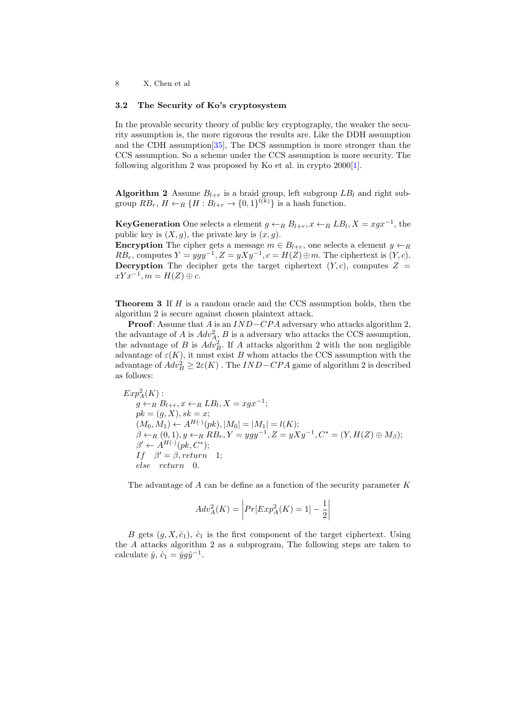### 3.2 The Security of Ko's cryptosystem

In the provable security theory of public key cryptography, the weaker the security assumption is, the more rigorous the results are. Like the DDH assumption and the CDH assumption[\[35\]](#page-13-20), The DCS assumption is more stronger than the CCS assumption. So a scheme under the CCS assumption is more security. The following algorithm 2 was proposed by Ko et al. in crypto 2000[\[1\]](#page-12-2).

**Algorithm 2** Assume  $B_{l+r}$  is a braid group, left subgroup  $LB_l$  and right subgroup  $RB_r$ ,  $H \leftarrow_R \{H : B_{l+r} \rightarrow \{0,1\}^{l(k)}\}$  is a hash function.

**KeyGeneration** One selects a element  $g \leftarrow_R B_{l+r}, x \leftarrow_R LB_l, X = xgx^{-1}$ , the public key is  $(X, g)$ , the private key is  $(x, g)$ .

**Encryption** The cipher gets a message  $m \in B_{l+r}$ , one selects a element  $y \leftarrow_R$  $RB_r$ , computes  $Y = ygy^{-1}, Z = yXy^{-1}, c = H(Z) \oplus m$ . The ciphertext is  $(Y, c)$ . **Decryption** The decipher gets the target ciphertext  $(Y, c)$ , computes  $Z =$  $xYx^{-1}, m = H(Z) \oplus c.$ 

**Theorem 3** If  $H$  is a random oracle and the CCS assumption holds, then the algorithm 2 is secure against chosen plaintext attack.

**Proof:** Assume that A is an  $IND-CPA$  adversary who attacks algorithm 2, the advantage of A is  $Adv_{A_2}^2$ , B is a adversary who attacks the CCS assumption, the advantage of B is  $Adv_B^2$ . If A attacks algorithm 2 with the non negligible advantage of  $\varepsilon(K)$ , it must exist B whom attacks the CCS assumption with the advantage of  $Adv_B^2 \geq 2\varepsilon(K)$  . The  $IND-CPA$  game of algorithm 2 is described as follows:

$$
Exp_A^2(K):
$$
  
\n $g \leftarrow_R B_{l+r}, x \leftarrow_R LB_l, X = xgx^{-1};$   
\n $pk = (g, X), sk = x;$   
\n $(M_0, M_1) \leftarrow A^{H(\cdot)}(pk), |M_0| = |M_1| = l(K);$   
\n $\beta \leftarrow_R (0, 1), y \leftarrow_R RB_r, Y = ygy^{-1}, Z = yXy^{-1}, C^* = (Y, H(Z) \oplus M_\beta);$   
\n $\beta' \leftarrow A^{H(\cdot)}(pk, C^*);$   
\n $If \beta' = \beta, return \quad 1;$   
\n $else \quad return \quad 0.$ 

The advantage of  $A$  can be define as a function of the security parameter  $K$ 

$$
Adv_A^2(K) = \left| Pr[Exp_A^2(K) = 1] - \frac{1}{2} \right|
$$

B gets  $(g, X, \hat{c}_1)$ ,  $\hat{c}_1$  is the first component of the target ciphertext. Using the A attacks algorithm 2 as a subprogram, The following steps are taken to calculate  $\hat{y}$ ,  $\hat{c}_1 = \hat{y}g\hat{y}^{-1}$ .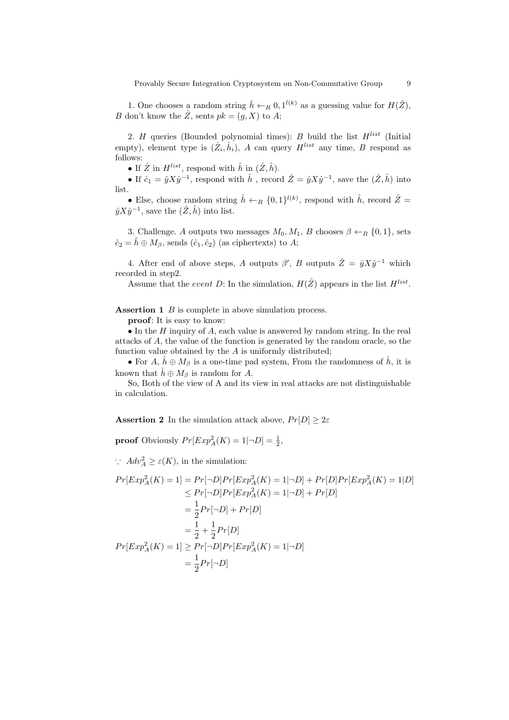1. One chooses a random string  $\hat{h} \leftarrow_R 0, 1^{l(k)}$  as a guessing value for  $H(\hat{Z})$ , B don't know the  $\hat{Z}$ , sents  $pk = (g, X)$  to  $A$ ;

2. H queries (Bounded polynomial times): B build the list  $H^{list}$  (Initial empty), element type is  $(\hat{Z}_i, \hat{h}_i)$ , A can query  $H^{list}$  any time, B respond as follows:

• If  $\hat{Z}$  in  $H^{list}$ , respond with  $\hat{h}$  in  $(\hat{Z}, \hat{h})$ .

• If  $\hat{c}_1 = \hat{y} X \hat{y}^{-1}$ , respond with  $\hat{h}$ , record  $\hat{Z} = \hat{y} X \hat{y}^{-1}$ , save the  $(\hat{Z}, \hat{h})$  into list.

• Else, choose random string  $\hat{h} \leftarrow_R \{0,1\}^{l(k)}$ , respond with  $\hat{h}$ , record  $\hat{Z} =$  $\hat{y} \hat{X} \hat{y}^{-1}$ , save the  $(\hat{Z}, \hat{h})$  into list.

3. Challenge. A outputs two messages  $M_0, M_1, B$  chooses  $\beta \leftarrow_R \{0, 1\}$ , sets  $\hat{c}_2 = \hat{h} \oplus M_\beta$ , sends  $(\hat{c}_1, \hat{c}_2)$  (as ciphertexts) to A;

4. After end of above steps, A outputs  $\beta'$ , B outputs  $\hat{Z} = \hat{y} X \hat{y}^{-1}$  which recorded in step2.

Assume that the event D: In the simulation,  $H(\hat{Z})$  appears in the list  $H^{list}$ .

Assertion 1  $\overline{B}$  is complete in above simulation process.

proof: It is easy to know:

 $\bullet$  In the H inquiry of A, each value is answered by random string. In the real attacks of A, the value of the function is generated by the random oracle, so the function value obtained by the  $A$  is uniformly distributed;

• For  $A, \hat{h} \oplus M_{\beta}$  is a one-time pad system, From the randomness of  $\hat{h}$ , it is known that  $\hat{h} \oplus M_{\beta}$  is random for A.

So, Both of the view of A and its view in real attacks are not distinguishable in calculation.

**Assertion 2** In the simulation attack above,  $Pr[D] \geq 2\varepsilon$ 

**proof** Obviously  $Pr[Exp_A^2(K) = 1 | \neg D] = \frac{1}{2}$ ,

∴  $Adv_A^2 \ge \varepsilon(K)$ , in the simulation:

$$
Pr[Exp_A^2(K) = 1] = Pr[\neg D]Pr[Exp_A^2(K) = 1|\neg D] + Pr[D]Pr[Exp_A^2(K) = 1|D]
$$
  
\n
$$
\leq Pr[\neg D]Pr[Exp_A^2(K) = 1|\neg D] + Pr[D]
$$
  
\n
$$
= \frac{1}{2}Pr[\neg D] + Pr[D]
$$
  
\n
$$
= \frac{1}{2} + \frac{1}{2}Pr[D]
$$
  
\n
$$
Pr[Exp_A^2(K) = 1] \geq Pr[\neg D]Pr[Exp_A^2(K) = 1|\neg D]
$$
  
\n
$$
= \frac{1}{2}Pr[\neg D]
$$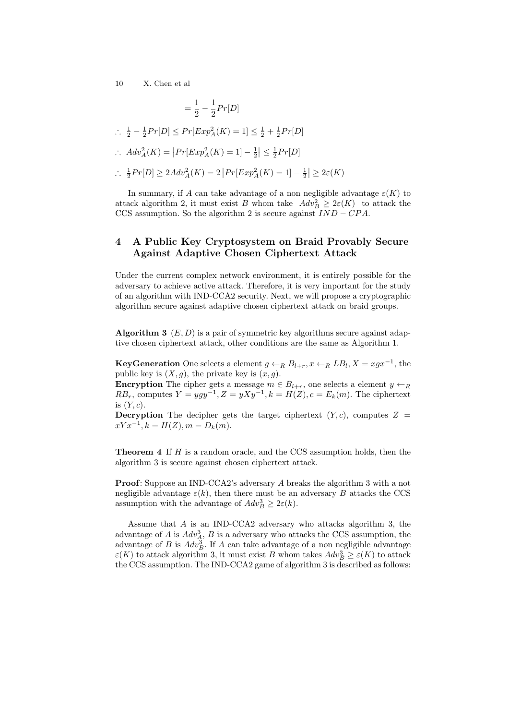$$
= \frac{1}{2} - \frac{1}{2}Pr[D]
$$
  
\n
$$
\therefore \frac{1}{2} - \frac{1}{2}Pr[D] \le Pr[Exp_A^2(K) = 1] \le \frac{1}{2} + \frac{1}{2}Pr[D]
$$
  
\n
$$
\therefore Adv_A^2(K) = |Pr[Exp_A^2(K) = 1] - \frac{1}{2}| \le \frac{1}{2}Pr[D]
$$
  
\n
$$
\therefore \frac{1}{2}Pr[D] \ge 2Adv_A^2(K) = 2 |Pr[Exp_A^2(K) = 1] - \frac{1}{2}| \ge 2\varepsilon(K)
$$

In summary, if A can take advantage of a non negligible advantage  $\varepsilon(K)$  to attack algorithm 2, it must exist B whom take  $Adv_B^2 \geq 2\varepsilon(K)$  to attack the CCS assumption. So the algorithm 2 is secure against  $IND - CPA$ .

# 4 A Public Key Cryptosystem on Braid Provably Secure Against Adaptive Chosen Ciphertext Attack

Under the current complex network environment, it is entirely possible for the adversary to achieve active attack. Therefore, it is very important for the study of an algorithm with IND-CCA2 security. Next, we will propose a cryptographic algorithm secure against adaptive chosen ciphertext attack on braid groups.

**Algorithm 3**  $(E, D)$  is a pair of symmetric key algorithms secure against adaptive chosen ciphertext attack, other conditions are the same as Algorithm 1.

**KeyGeneration** One selects a element  $g \leftarrow_R B_{l+r}, x \leftarrow_R LB_l, X = xgx^{-1}$ , the public key is  $(X, g)$ , the private key is  $(x, g)$ .

**Encryption** The cipher gets a message  $m \in B_{l+r}$ , one selects a element  $y \leftarrow_R$  $RB_r$ , computes  $Y = ygy^{-1}, Z = yXy^{-1}, k = H(Z), c = E_k(m)$ . The ciphertext is  $(Y, c)$ .

**Decryption** The decipher gets the target ciphertext  $(Y, c)$ , computes  $Z =$  $xYx^{-1}, k = H(Z), m = D_k(m).$ 

**Theorem 4** If  $H$  is a random oracle, and the CCS assumption holds, then the algorithm 3 is secure against chosen ciphertext attack.

Proof: Suppose an IND-CCA2's adversary A breaks the algorithm 3 with a not negligible advantage  $\varepsilon(k)$ , then there must be an adversary B attacks the CCS assumption with the advantage of  $Adv_B^3 \geq 2\varepsilon(k)$ .

Assume that A is an IND-CCA2 adversary who attacks algorithm 3, the advantage of A is  $Adv_A^3$ , B is a adversary who attacks the CCS assumption, the advantage of B is  $Adv_B^3$ . If A can take advantage of a non negligible advantage  $\varepsilon(K)$  to attack algorithm 3, it must exist B whom takes  $Adv_B^3 \ge \varepsilon(K)$  to attack the CCS assumption. The IND-CCA2 game of algorithm 3 is described as follows: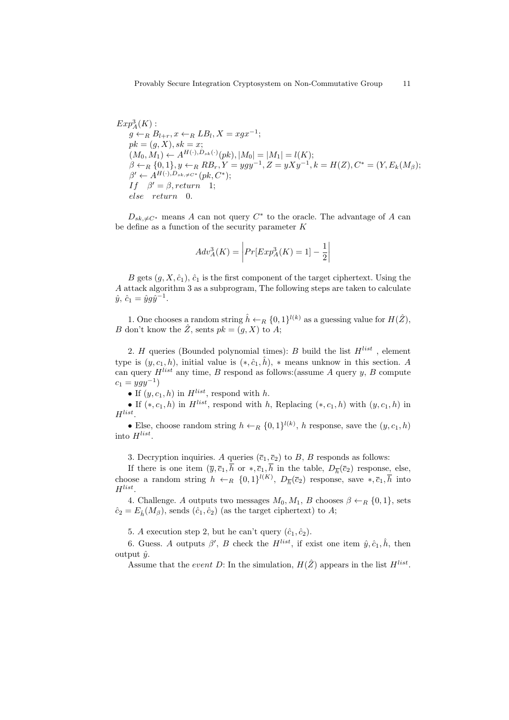$$
Exp_A^3(K) : \ng \leftarrow_R B_{l+r}, x \leftarrow_R LB_l, X = xgx^{-1}; \npk = (g, X), sk = x; \n(M_0, M_1) \leftarrow A^{H(\cdot), D_{sk}(\cdot)}(pk), |M_0| = |M_1| = l(K); \beta \leftarrow_R \{0, 1\}, y \leftarrow_R RB_r, Y = ygy^{-1}, Z = yXy^{-1}, k = H(Z), C^* = (Y, E_k(M_\beta); \n\beta' \leftarrow A^{H(\cdot), D_{sk}, \neq C^*}(pk, C^*); \nIf \beta' = \beta, return 1; \nelse return 0.
$$

 $D_{sk,\neq C^*}$  means A can not query  $C^*$  to the oracle. The advantage of A can be define as a function of the security parameter K

$$
Adv_A^3(K) = \left| Pr[Exp_A^3(K) = 1] - \frac{1}{2} \right|
$$

B gets  $(g, X, \hat{c}_1)$ ,  $\hat{c}_1$  is the first component of the target ciphertext. Using the A attack algorithm 3 as a subprogram, The following steps are taken to calculate  $\hat{y}, \ \hat{c}_1 = \hat{y} g \hat{y}^{-1}.$ 

1. One chooses a random string  $\hat{h} \leftarrow_R \{0,1\}^{l(k)}$  as a guessing value for  $H(\hat{Z})$ , B don't know the  $\hat{Z}$ , sents  $pk = (g, X)$  to A;

2. H queries (Bounded polynomial times): B build the list  $H^{list}$ , element type is  $(y, c_1, h)$ , initial value is  $(*, \hat{c}_1, \hat{h})$ , \* means unknow in this section. A can query  $H^{list}$  any time, B respond as follows: (assume A query y, B compute  $c_1 = ygy^{-1}$ 

• If  $(y, c_1, h)$  in  $H^{list}$ , respond with h.

• If  $(*, c_1, h)$  in  $H^{list}$ , respond with h, Replacing  $(*, c_1, h)$  with  $(y, c_1, h)$  in  $H^{list}$ .

• Else, choose random string  $h \leftarrow_R \{0,1\}^{l(k)}$ , h response, save the  $(y, c_1, h)$ into  $H^{list}$ .

3. Decryption inquiries. A queries  $(\bar{c}_1, \bar{c}_2)$  to B, B responds as follows:

If there is one item  $(\bar{y}, \bar{c}_1, h \text{ or } *, \bar{c}_1, h \text{ in the table}, D_{\overline{h}}(\bar{c}_2)$  response, else, choose a random string  $h \leftarrow_R \{0,1\}^{l(K)}$ ,  $D_{\overline{h}}(\overline{c}_2)$  response, save  $*, \overline{c}_1, \overline{h}$  into  $H^{list}$ .

4. Challenge. A outputs two messages  $M_0, M_1, B$  chooses  $\beta \leftarrow_R \{0, 1\}$ , sets  $\hat{c}_2 = E_{\hat{h}}(M_{\beta})$ , sends  $(\hat{c}_1, \hat{c}_2)$  (as the target ciphertext) to A;

5. A execution step 2, but he can't query  $(\hat{c}_1, \hat{c}_2)$ .

6. Guess. A outputs  $\beta'$ , B check the  $H^{list}$ , if exist one item  $\hat{y}, \hat{c}_1, \hat{h}$ , then output  $\hat{y}$ .

Assume that the event D: In the simulation,  $H(\hat{Z})$  appears in the list  $H^{list}$ .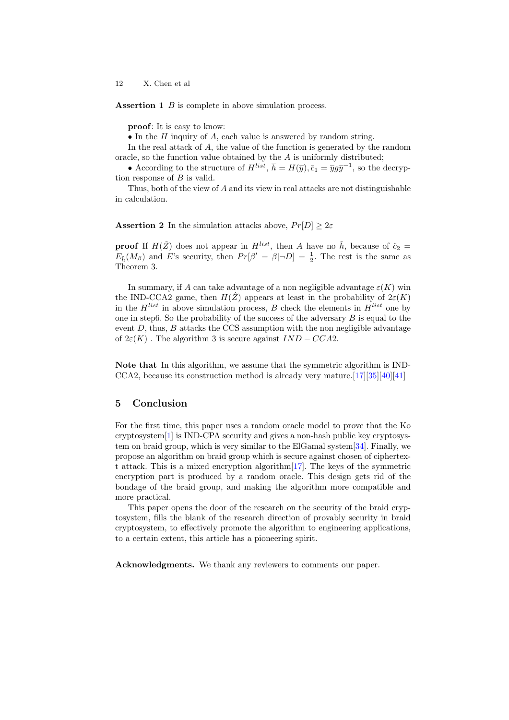Assertion 1 B is complete in above simulation process.

proof: It is easy to know:

• In the  $H$  inquiry of  $A$ , each value is answered by random string.

In the real attack of A, the value of the function is generated by the random oracle, so the function value obtained by the  $A$  is uniformly distributed;

• According to the structure of  $H^{list}$ ,  $\overline{h} = H(\overline{y}), \overline{c}_1 = \overline{y}g\overline{y}^{-1}$ , so the decryption response of  $B$  is valid.

Thus, both of the view of A and its view in real attacks are not distinguishable in calculation.

**Assertion 2** In the simulation attacks above,  $Pr[D] \geq 2\varepsilon$ 

**proof** If  $H(\hat{Z})$  does not appear in  $H^{list}$ , then A have no  $\hat{h}$ , because of  $\hat{c}_2$  =  $E_{\hat{h}}(M_{\beta})$  and E's security, then  $Pr[\beta' = \beta | \neg D] = \frac{1}{2}$ . The rest is the same as Theorem 3.

In summary, if A can take advantage of a non negligible advantage  $\varepsilon(K)$  win the IND-CCA2 game, then  $H(\hat{Z})$  appears at least in the probability of  $2\varepsilon(K)$ in the  $H^{list}$  in above simulation process, B check the elements in  $H^{list}$  one by one in step6. So the probability of the success of the adversary  $B$  is equal to the event  $D$ , thus,  $B$  attacks the CCS assumption with the non negligible advantage of  $2\varepsilon(K)$ . The algorithm 3 is secure against  $IND-CCA2$ .

Note that In this algorithm, we assume that the symmetric algorithm is IND-CCA2, because its construction method is already very mature.  $[17][35][40][41]$  $[17][35][40][41]$  $[17][35][40][41]$  $[17][35][40][41]$ 

### 5 Conclusion

For the first time, this paper uses a random oracle model to prove that the Ko cryptosystem[\[1\]](#page-12-2) is IND-CPA security and gives a non-hash public key cryptosystem on braid group, which is very similar to the ElGamal system[\[34\]](#page-13-19). Finally, we propose an algorithm on braid group which is secure against chosen of ciphertext attack. This is a mixed encryption algorithm[\[17\]](#page-12-17). The keys of the symmetric encryption part is produced by a random oracle. This design gets rid of the bondage of the braid group, and making the algorithm more compatible and more practical.

This paper opens the door of the research on the security of the braid cryptosystem, fills the blank of the research direction of provably security in braid cryptosystem, to effectively promote the algorithm to engineering applications, to a certain extent, this article has a pioneering spirit.

Acknowledgments. We thank any reviewers to comments our paper.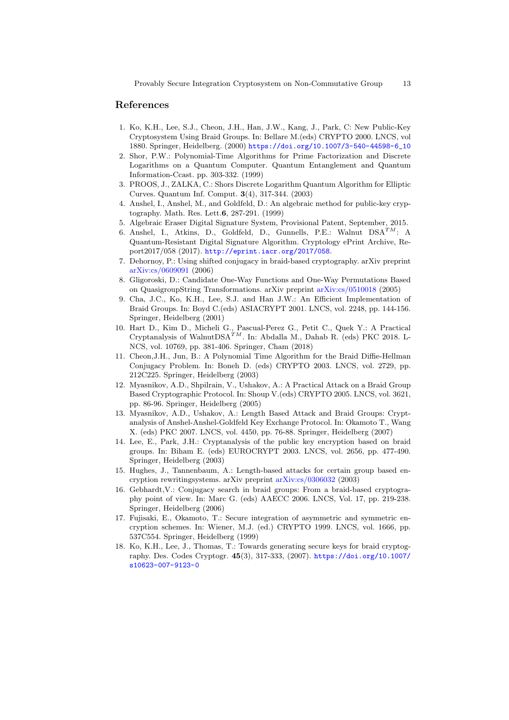### References

- <span id="page-12-2"></span>1. Ko, K.H., Lee, S.J., Cheon, J.H., Han, J.W., Kang, J., Park, C: New Public-Key Cryptosystem Using Braid Groups. In: Bellare M.(eds) CRYPTO 2000. LNCS, vol 1880. Springer, Heidelberg. (2000) [https://doi.org/10.1007/3-540-44598-6\\_10](https://doi.org/10.1007/3-540-44598-6_10)
- <span id="page-12-0"></span>2. Shor, P.W.: Polynomial-Time Algorithms for Prime Factorization and Discrete Logarithms on a Quantum Computer. Quantum Entanglement and Quantum Information-Ccast. pp. 303-332. (1999)
- <span id="page-12-1"></span>3. PROOS, J., ZALKA, C.: Shors Discrete Logarithm Quantum Algorithm for Elliptic Curves. Quantum Inf. Comput. 3(4), 317-344. (2003)
- <span id="page-12-3"></span>4. Anshel, I., Anshel, M., and Goldfeld, D.: An algebraic method for public-key cryptography. Math. Res. Lett.6, 287-291. (1999)
- <span id="page-12-14"></span>5. Algebraic Eraser Digital Signature System, Provisional Patent, September, 2015.
- <span id="page-12-15"></span>6. Anshel, I., Atkins, D., Goldfeld, D., Gunnells, P.E.: Walnut  $DSA^{TM}$ : A Quantum-Resistant Digital Signature Algorithm. Cryptology ePrint Archive, Report2017/058 (2017). <http://eprint.iacr.org/2017/058>.
- <span id="page-12-4"></span>7. Dehornoy, P.: Using shifted conjugacy in braid-based cryptography. arXiv preprint [arXiv:cs/0609091](https://arxiv.org/abs/cs/0609091) (2006)
- <span id="page-12-5"></span>8. Gligoroski, D.: Candidate One-Way Functions and One-Way Permutations Based on QuasigroupString Transformations. arXiv preprint [arXiv:cs/0510018](http://arxiv.org/abs/cs/0510018) (2005)
- <span id="page-12-6"></span>9. Cha, J.C., Ko, K.H., Lee, S.J. and Han J.W.: An Efficient Implementation of Braid Groups. In: Boyd C.(eds) ASIACRYPT 2001. LNCS, vol. 2248, pp. 144-156. Springer, Heidelberg (2001)
- <span id="page-12-16"></span>10. Hart D., Kim D., Micheli G., Pascual-Perez G., Petit C., Quek Y.: A Practical Cryptanalysis of WalnutDSA<sup>TM</sup>. In: Abdalla M., Dahab R. (eds) PKC 2018. L-NCS, vol. 10769, pp. 381-406. Springer, Cham (2018)
- <span id="page-12-7"></span>11. Cheon,J.H., Jun, B.: A Polynomial Time Algorithm for the Braid Diffie-Hellman Conjugacy Problem. In: Boneh D. (eds) CRYPTO 2003. LNCS, vol. 2729, pp. 212C225. Springer, Heidelberg (2003)
- <span id="page-12-8"></span>12. Myasnikov, A.D., Shpilrain, V., Ushakov, A.: A Practical Attack on a Braid Group Based Cryptographic Protocol. In: Shoup V.(eds) CRYPTO 2005. LNCS, vol. 3621, pp. 86-96. Springer, Heidelberg (2005)
- <span id="page-12-9"></span>13. Myasnikov, A.D., Ushakov, A.: Length Based Attack and Braid Groups: Cryptanalysis of Anshel-Anshel-Goldfeld Key Exchange Protocol. In: Okamoto T., Wang X. (eds) PKC 2007. LNCS, vol. 4450, pp. 76-88. Springer, Heidelberg (2007)
- <span id="page-12-10"></span>14. Lee, E., Park, J.H.: Cryptanalysis of the public key encryption based on braid groups. In: Biham E. (eds) EUROCRYPT 2003. LNCS, vol. 2656, pp. 477-490. Springer, Heidelberg (2003)
- <span id="page-12-11"></span>15. Hughes, J., Tannenbaum, A.: Length-based attacks for certain group based encryption rewritingsystems. arXiv preprint [arXiv:cs/0306032](http://arxiv.org/abs/cs.CR/0306032) (2003)
- <span id="page-12-12"></span>16. Gebhardt,V.: Conjugacy search in braid groups: From a braid-based cryptography point of view. In: Marc G. (eds) AAECC 2006. LNCS, Vol. 17, pp. 219-238. Springer, Heidelberg (2006)
- <span id="page-12-17"></span>17. Fujisaki, E., Okamoto, T.: Secure integration of asymmetric and symmetric encryption schemes. In: Wiener, M.J. (ed.) CRYPTO 1999. LNCS, vol. 1666, pp. 537C554. Springer, Heidelberg (1999)
- <span id="page-12-13"></span>18. Ko, K.H., Lee, J., Thomas, T.: Towards generating secure keys for braid cryptography. Des. Codes Cryptogr. 45(3), 317-333, (2007). [https://doi.org/10.1007/](https://doi.org/10.1007/s10623-007-9123-0) [s10623-007-9123-0](https://doi.org/10.1007/s10623-007-9123-0)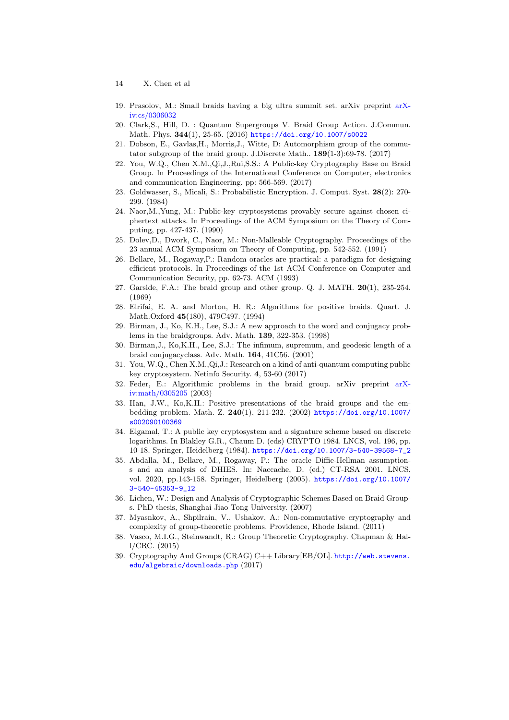- 14 X. Chen et al
- <span id="page-13-0"></span>19. Prasolov, M.: Small braids having a big ultra summit set. arXiv preprint [arX](http://arxiv.org/abs/0906.0076)[iv:cs/0306032](http://arxiv.org/abs/0906.0076)
- <span id="page-13-9"></span>20. Clark,S., Hill, D. : Quantum Supergroups V. Braid Group Action. J.Commun. Math. Phys. 344(1), 25-65. (2016) <https://doi.org/10.1007/s0022>
- <span id="page-13-10"></span>21. Dobson, E., Gavlas,H., Morris,J., Witte, D: Automorphism group of the commutator subgroup of the braid group. J.Discrete Math.. 189(1-3):69-78. (2017)
- <span id="page-13-6"></span>22. You, W.Q., Chen X.M.,Qi,J.,Rui,S.S.: A Public-key Cryptography Base on Braid Group. In Proceedings of the International Conference on Computer, electronics and communication Engineering. pp: 566-569. (2017)
- <span id="page-13-11"></span>23. Goldwasser, S., Micali, S.: Probabilistic Encryption. J. Comput. Syst. 28(2): 270- 299. (1984)
- <span id="page-13-12"></span>24. Naor,M.,Yung, M.: Public-key cryptosystems provably secure against chosen ciphertext attacks. In Proceedings of the ACM Symposium on the Theory of Computing, pp. 427-437. (1990)
- <span id="page-13-13"></span>25. Dolev,D., Dwork, C., Naor, M.: Non-Malleable Cryptography. Proceedings of the 23 annual ACM Symposium on Theory of Computing, pp. 542-552. (1991)
- <span id="page-13-14"></span>26. Bellare, M., Rogaway,P.: Random oracles are practical: a paradigm for designing efficient protocols. In Proceedings of the 1st ACM Conference on Computer and Communication Security, pp. 62-73. ACM (1993)
- <span id="page-13-15"></span>27. Garside, F.A.: The braid group and other group. Q. J. MATH.  $20(1)$ , 235-254. (1969)
- <span id="page-13-4"></span>28. Elrifai, E. A. and Morton, H. R.: Algorithms for positive braids. Quart. J. Math.Oxford 45(180), 479C497. (1994)
- <span id="page-13-16"></span>29. Birman, J., Ko, K.H., Lee, S.J.: A new approach to the word and conjugacy problems in the braidgroups. Adv. Math. 139, 322-353. (1998)
- <span id="page-13-17"></span>30. Birman,J., Ko,K.H., Lee, S.J.: The infimum, supremum, and geodesic length of a braid conjugacyclass. Adv. Math. 164, 41C56. (2001)
- <span id="page-13-7"></span>31. You, W.Q., Chen X.M.,Qi,J.: Research on a kind of anti-quantum computing public key cryptosystem. Netinfo Security. 4, 53-60 (2017)
- <span id="page-13-5"></span>32. Feder, E.: Algorithmic problems in the braid group. arXiv preprint [arX](http://arxiv.org/abs/math.GR/0305205)[iv:math/0305205](http://arxiv.org/abs/math.GR/0305205) (2003)
- <span id="page-13-18"></span>33. Han, J.W., Ko,K.H.: Positive presentations of the braid groups and the embedding problem. Math. Z. 240(1), 211-232. (2002) [https://doi.org/10.1007/]( https://doi.org/10.1007/s002090100369) [s002090100369]( https://doi.org/10.1007/s002090100369)
- <span id="page-13-19"></span>34. Elgamal, T.: A public key cryptosystem and a signature scheme based on discrete logarithms. In Blakley G.R., Chaum D. (eds) CRYPTO 1984. LNCS, vol. 196, pp. 10-18. Springer, Heidelberg (1984). [https://doi.org/10.1007/3-540-39568-7\\_2](https://doi.org/10.1007/3-540-39568-7_2)
- <span id="page-13-20"></span>35. Abdalla, M., Bellare, M., Rogaway, P.: The oracle Diffie-Hellman assumptions and an analysis of DHIES. In: Naccache, D. (ed.) CT-RSA 2001. LNCS, vol. 2020, pp.143-158. Springer, Heidelberg (2005). [https://doi.org/10.1007/](https://doi.org/10.1007/3-540-45353-9_12) [3-540-45353-9\\_12](https://doi.org/10.1007/3-540-45353-9_12)
- <span id="page-13-1"></span>36. Lichen, W.: Design and Analysis of Cryptographic Schemes Based on Braid Groups. PhD thesis, Shanghai Jiao Tong University. (2007)
- <span id="page-13-2"></span>37. Myasnkov, A., Shpilrain, V., Ushakov, A.: Non-commutative cryptography and complexity of group-theoretic problems. Providence, Rhode Island. (2011)
- <span id="page-13-3"></span>38. Vasco, M.I.G., Steinwandt, R.: Group Theoretic Cryptography. Chapman & Hall/CRC. (2015)
- <span id="page-13-8"></span>39. Cryptography And Groups (CRAG) C++ Library[EB/OL]. [http://web.stevens.](http://web.stevens.edu/algebraic/downloads.php) [edu/algebraic/downloads.php](http://web.stevens.edu/algebraic/downloads.php) (2017)